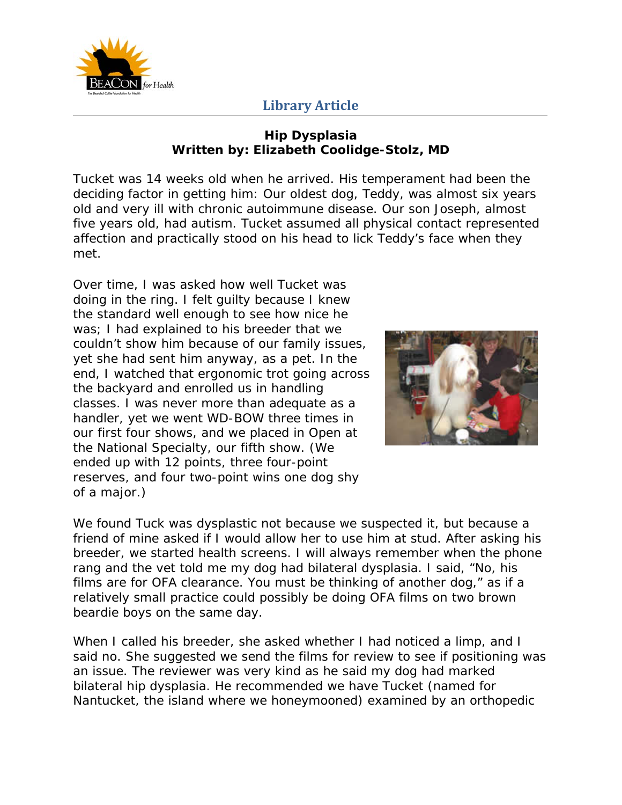

#### **Hip Dysplasia Written by: Elizabeth Coolidge-Stolz, MD**

Tucket was 14 weeks old when he arrived. His temperament had been the deciding factor in getting him: Our oldest dog, Teddy, was almost six years old and very ill with chronic autoimmune disease. Our son Joseph, almost five years old, had autism. Tucket assumed all physical contact represented affection and practically stood on his head to lick Teddy's face when they met.

Over time, I was asked how well Tucket was doing in the ring. I felt guilty because I knew the standard well enough to see how nice he was; I had explained to his breeder that we couldn't show him because of our family issues, yet she had sent him anyway, as a pet. In the end, I watched that ergonomic trot going across the backyard and enrolled us in handling classes. I was never more than adequate as a handler, yet we went WD-BOW three times in our first four shows, and we placed in Open at the National Specialty, our fifth show. (We ended up with 12 points, three four-point reserves, and four two-point wins one dog shy of a major.)



We found Tuck was dysplastic not because we suspected it, but because a friend of mine asked if I would allow her to use him at stud. After asking his breeder, we started health screens. I will always remember when the phone rang and the vet told me my dog had bilateral dysplasia. I said, "No, his films are for OFA clearance. You must be thinking of another dog," as if a relatively small practice could possibly be doing OFA films on two brown beardie boys on the same day.

When I called his breeder, she asked whether I had noticed a limp, and I said no. She suggested we send the films for review to see if positioning was an issue. The reviewer was very kind as he said my dog had marked bilateral hip dysplasia. He recommended we have Tucket (named for Nantucket, the island where we honeymooned) examined by an orthopedic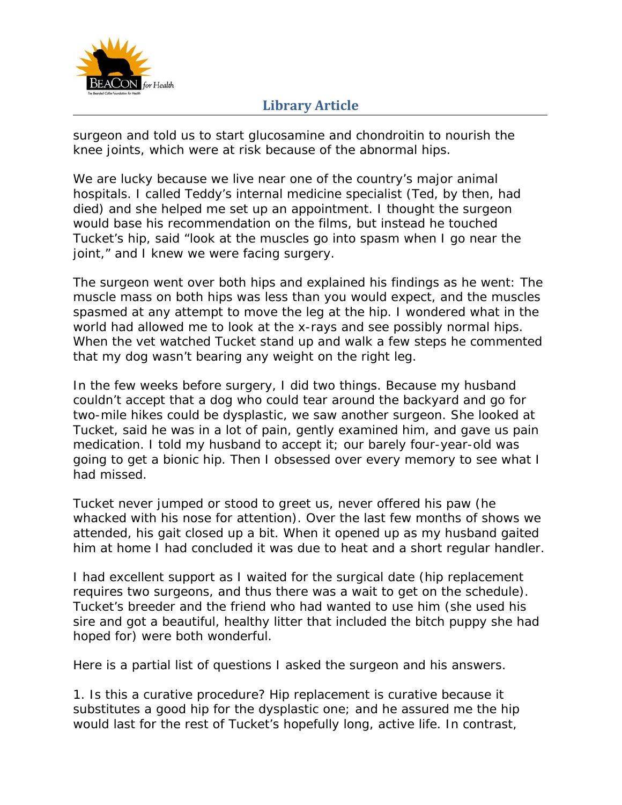

surgeon and told us to start glucosamine and chondroitin to nourish the knee joints, which were at risk because of the abnormal hips.

We are lucky because we live near one of the country's major animal hospitals. I called Teddy's internal medicine specialist (Ted, by then, had died) and she helped me set up an appointment. I thought the surgeon would base his recommendation on the films, but instead he touched Tucket's hip, said "look at the muscles go into spasm when I go near the joint," and I knew we were facing surgery.

The surgeon went over both hips and explained his findings as he went: The muscle mass on both hips was less than you would expect, and the muscles spasmed at any attempt to move the leg at the hip. I wondered what in the world had allowed me to look at the x-rays and see possibly normal hips. When the vet watched Tucket stand up and walk a few steps he commented that my dog wasn't bearing any weight on the right leg.

In the few weeks before surgery, I did two things. Because my husband couldn't accept that a dog who could tear around the backyard and go for two-mile hikes could be dysplastic, we saw another surgeon. She looked at Tucket, said he was in a lot of pain, gently examined him, and gave us pain medication. I told my husband to accept it; our barely four-year-old was going to get a bionic hip. Then I obsessed over every memory to see what I had missed.

Tucket never jumped or stood to greet us, never offered his paw (he whacked with his nose for attention). Over the last few months of shows we attended, his gait closed up a bit. When it opened up as my husband gaited him at home I had concluded it was due to heat and a short regular handler.

I had excellent support as I waited for the surgical date (hip replacement requires two surgeons, and thus there was a wait to get on the schedule). Tucket's breeder and the friend who had wanted to use him (she used his sire and got a beautiful, healthy litter that included the bitch puppy she had hoped for) were both wonderful.

Here is a partial list of questions I asked the surgeon and his answers.

1. Is this a curative procedure? Hip replacement is curative because it substitutes a good hip for the dysplastic one; and he assured me the hip would last for the rest of Tucket's hopefully long, active life. In contrast,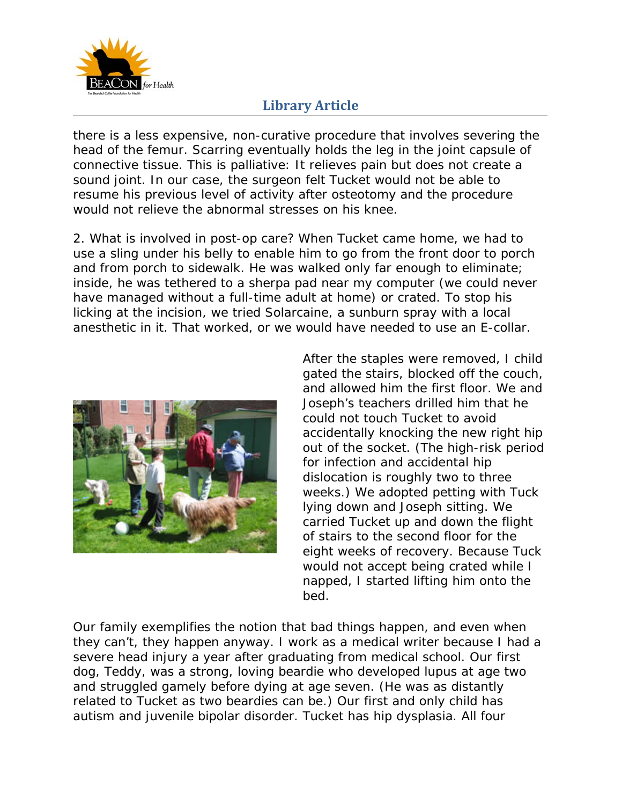

there is a less expensive, non-curative procedure that involves severing the head of the femur. Scarring eventually holds the leg in the joint capsule of connective tissue. This is palliative: It relieves pain but does not create a sound joint. In our case, the surgeon felt Tucket would not be able to resume his previous level of activity after osteotomy and the procedure would not relieve the abnormal stresses on his knee.

2. What is involved in post-op care? When Tucket came home, we had to use a sling under his belly to enable him to go from the front door to porch and from porch to sidewalk. He was walked only far enough to eliminate; inside, he was tethered to a sherpa pad near my computer (we could never have managed without a full-time adult at home) or crated. To stop his licking at the incision, we tried Solarcaine, a sunburn spray with a local anesthetic in it. That worked, or we would have needed to use an E-collar.



After the staples were removed, I child gated the stairs, blocked off the couch, and allowed him the first floor. We and Joseph's teachers drilled him that he could not touch Tucket to avoid accidentally knocking the new right hip out of the socket. (The high-risk period for infection and accidental hip dislocation is roughly two to three weeks.) We adopted petting with Tuck lying down and Joseph sitting. We carried Tucket up and down the flight of stairs to the second floor for the eight weeks of recovery. Because Tuck would not accept being crated while I napped, I started lifting him onto the bed.

Our family exemplifies the notion that bad things happen, and even when they can't, they happen anyway. I work as a medical writer because I had a severe head injury a year after graduating from medical school. Our first dog, Teddy, was a strong, loving beardie who developed lupus at age two and struggled gamely before dying at age seven. (He was as distantly related to Tucket as two beardies can be.) Our first and only child has autism and juvenile bipolar disorder. Tucket has hip dysplasia. All four